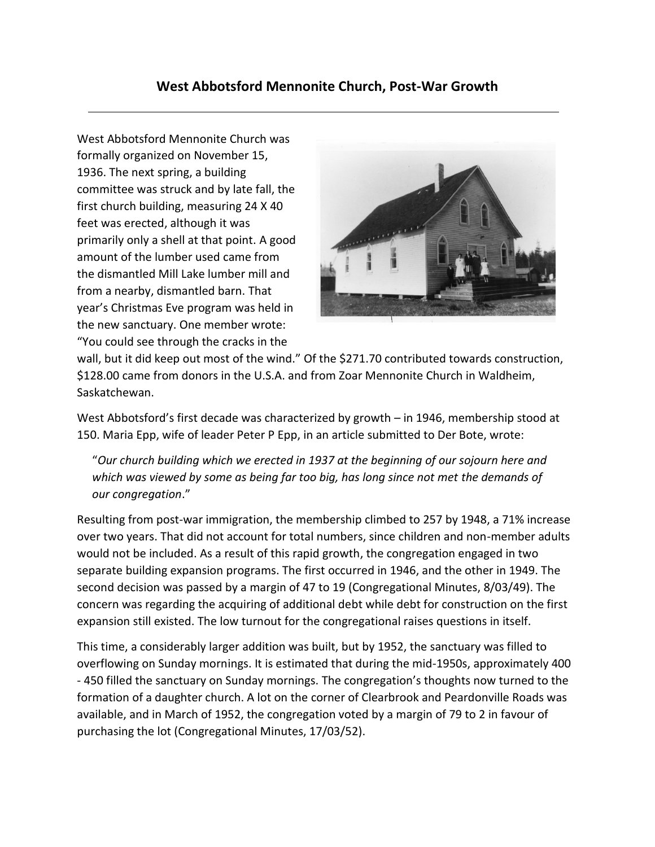## **West Abbotsford Mennonite Church, Post-War Growth**

West Abbotsford Mennonite Church was formally organized on November 15, 1936. The next spring, a building committee was struck and by late fall, the first church building, measuring 24 X 40 feet was erected, although it was primarily only a shell at that point. A good amount of the lumber used came from the dismantled Mill Lake lumber mill and from a nearby, dismantled barn. That year's Christmas Eve program was held in the new sanctuary. One member wrote: "You could see through the cracks in the



wall, but it did keep out most of the wind." Of the \$271.70 contributed towards construction, \$128.00 came from donors in the U.S.A. and from Zoar Mennonite Church in Waldheim, Saskatchewan.

West Abbotsford's first decade was characterized by growth – in 1946, membership stood at 150. Maria Epp, wife of leader Peter P Epp, in an article submitted to Der Bote, wrote:

"*Our church building which we erected in 1937 at the beginning of our sojourn here and which was viewed by some as being far too big, has long since not met the demands of our congregation*."

Resulting from post-war immigration, the membership climbed to 257 by 1948, a 71% increase over two years. That did not account for total numbers, since children and non-member adults would not be included. As a result of this rapid growth, the congregation engaged in two separate building expansion programs. The first occurred in 1946, and the other in 1949. The second decision was passed by a margin of 47 to 19 (Congregational Minutes, 8/03/49). The concern was regarding the acquiring of additional debt while debt for construction on the first expansion still existed. The low turnout for the congregational raises questions in itself.

This time, a considerably larger addition was built, but by 1952, the sanctuary was filled to overflowing on Sunday mornings. It is estimated that during the mid-1950s, approximately 400 - 450 filled the sanctuary on Sunday mornings. The congregation's thoughts now turned to the formation of a daughter church. A lot on the corner of Clearbrook and Peardonville Roads was available, and in March of 1952, the congregation voted by a margin of 79 to 2 in favour of purchasing the lot (Congregational Minutes, 17/03/52).